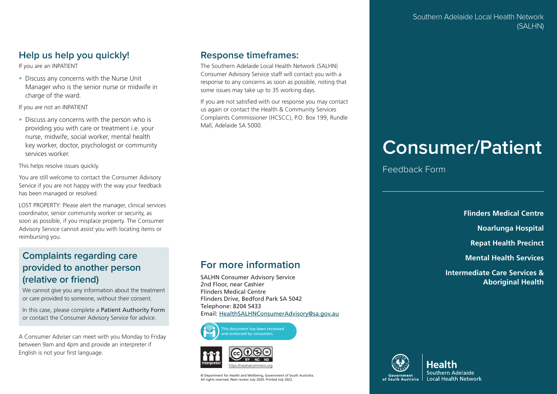## **Help us help you quickly!**

If you are an INPATIENT

• Discuss any concerns with the Nurse Unit Manager who is the senior nurse or midwife in charge of the ward.

If you are not an INPATIENT

• Discuss any concerns with the person who is providing you with care or treatment i.e. your nurse, midwife, social worker, mental health key worker, doctor, psychologist or community services worker.

This helps resolve issues quickly.

You are still welcome to contact the Consumer Advisory Service if you are not happy with the way your feedback has been managed or resolved.

LOST PROPERTY: Please alert the manager, clinical services coordinator, senior community worker or security, as soon as possible, if you misplace property. The Consumer Advisory Service cannot assist you with locating items or reimbursing you.

## **Complaints regarding care provided to another person (relative or friend)**

We cannot give you any information about the treatment or care provided to someone, without their consent.

In this case, please complete a Patient Authority Form or contact the Consumer Advisory Service for advice.

A Consumer Adviser can meet with you Monday to Friday between 9am and 4pm and provide an interpreter if English is not your first language.

## **Response timeframes:**

The Southern Adelaide Local Health Network (SALHN) Consumer Advisory Service staff will contact you with a response to any concerns as soon as possible, noting that some issues may take up to 35 working days.

If you are not satisfied with our response you may contact us again or contact the Health & Community Services Complaints Commissioner (HCSCC), P.O. Box 199, Rundle Mall, Adelaide SA 5000.

## **For more information**

SALHN Consumer Advisory Service 2nd Floor, near Cashier Flinders Medical Centre Flinders Drive, Bedford Park SA 5042 Telephone: 8204 5433 Email: HealthSALHNConsumerAdvisory@sa.gov.au





© Department for Health and Wellbeing, Government of South Australia. All rights reserved. Next review July 2020. Printed July 2022.

# **Consumer/Patient**

Feedback Form

**Flinders Medical Centre**

**Noarlunga Hospital**

**Repat Health Precinct**

**Mental Health Services**

**Intermediate Care Services & Aboriginal Health**